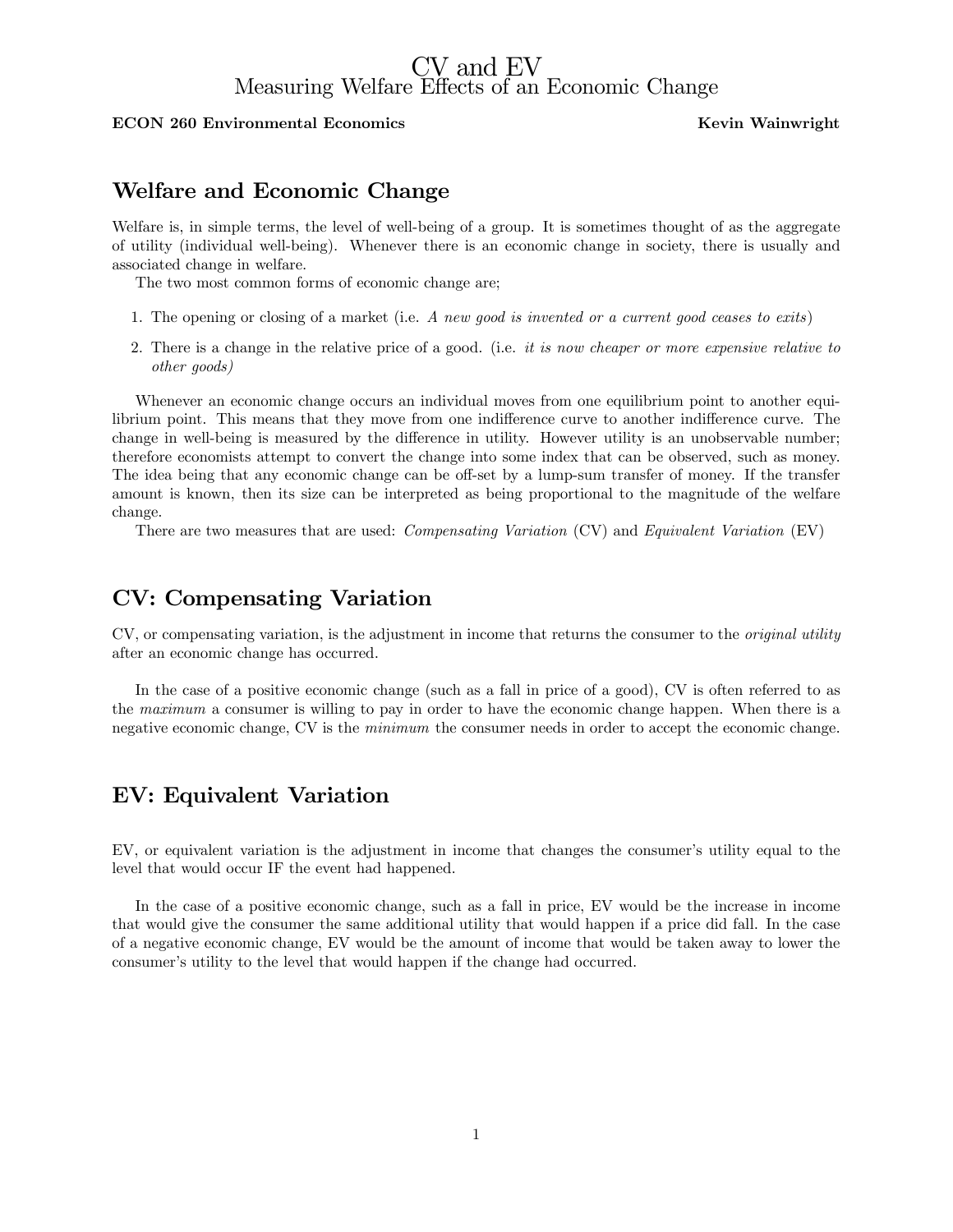# CV and EV Measuring Welfare Effects of an Economic Change

#### ECON 260 Environmental Economics and Solid Manuscript Revin Wainwright

# Welfare and Economic Change

Welfare is, in simple terms, the level of well-being of a group. It is sometimes thought of as the aggregate of utility (individual well-being). Whenever there is an economic change in society, there is usually and associated change in welfare.

The two most common forms of economic change are;

- 1. The opening or closing of a market (i.e. A new good is invented or a current good ceases to exits)
- 2. There is a change in the relative price of a good. (i.e. it is now cheaper or more expensive relative to other goods)

Whenever an economic change occurs an individual moves from one equilibrium point to another equilibrium point. This means that they move from one indifference curve to another indifference curve. The change in well-being is measured by the difference in utility. However utility is an unobservable number; therefore economists attempt to convert the change into some index that can be observed, such as money. The idea being that any economic change can be off-set by a lump-sum transfer of money. If the transfer amount is known, then its size can be interpreted as being proportional to the magnitude of the welfare change.

There are two measures that are used: Compensating Variation (CV) and Equivalent Variation (EV)

## CV: Compensating Variation

CV, or compensating variation, is the adjustment in income that returns the consumer to the original utility after an economic change has occurred.

In the case of a positive economic change (such as a fall in price of a good), CV is often referred to as the maximum a consumer is willing to pay in order to have the economic change happen. When there is a negative economic change, CV is the minimum the consumer needs in order to accept the economic change.

### EV: Equivalent Variation

EV, or equivalent variation is the adjustment in income that changes the consumer's utility equal to the level that would occur IF the event had happened.

In the case of a positive economic change, such as a fall in price, EV would be the increase in income that would give the consumer the same additional utility that would happen if a price did fall. In the case of a negative economic change, EV would be the amount of income that would be taken away to lower the consumer's utility to the level that would happen if the change had occurred.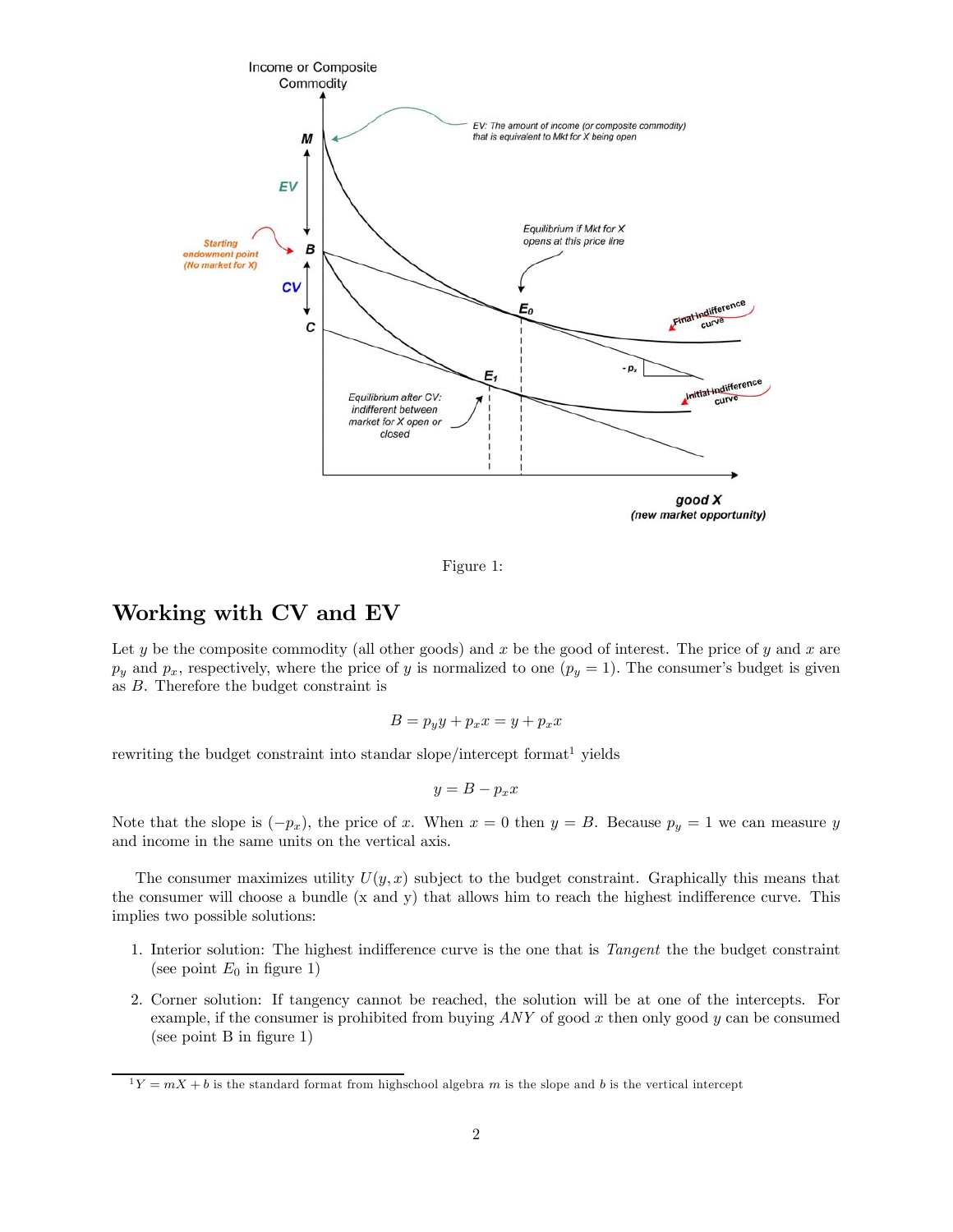

Figure 1:

# Working with CV and EV

Let y be the composite commodity (all other goods) and x be the good of interest. The price of y and x are  $p_y$  and  $p_x$ , respectively, where the price of y is normalized to one  $(p_y = 1)$ . The consumer's budget is given as B. Therefore the budget constraint is

$$
B = p_y y + p_x x = y + p_x x
$$

rewriting the budget constraint into standar slope/intercept format<sup>1</sup> yields

$$
y = B - p_x x
$$

Note that the slope is  $(-p_x)$ , the price of x. When  $x = 0$  then  $y = B$ . Because  $p_y = 1$  we can measure y and income in the same units on the vertical axis.

The consumer maximizes utility  $U(y, x)$  subject to the budget constraint. Graphically this means that the consumer will choose a bundle (x and y) that allows him to reach the highest indifference curve. This implies two possible solutions:

- 1. Interior solution: The highest indifference curve is the one that is Tangent the the budget constraint (see point  $E_0$  in figure 1)
- 2. Corner solution: If tangency cannot be reached, the solution will be at one of the intercepts. For example, if the consumer is prohibited from buying  $ANY$  of good x then only good y can be consumed (see point B in figure 1)

 $1Y = mX + b$  is the standard format from highschool algebra m is the slope and b is the vertical intercept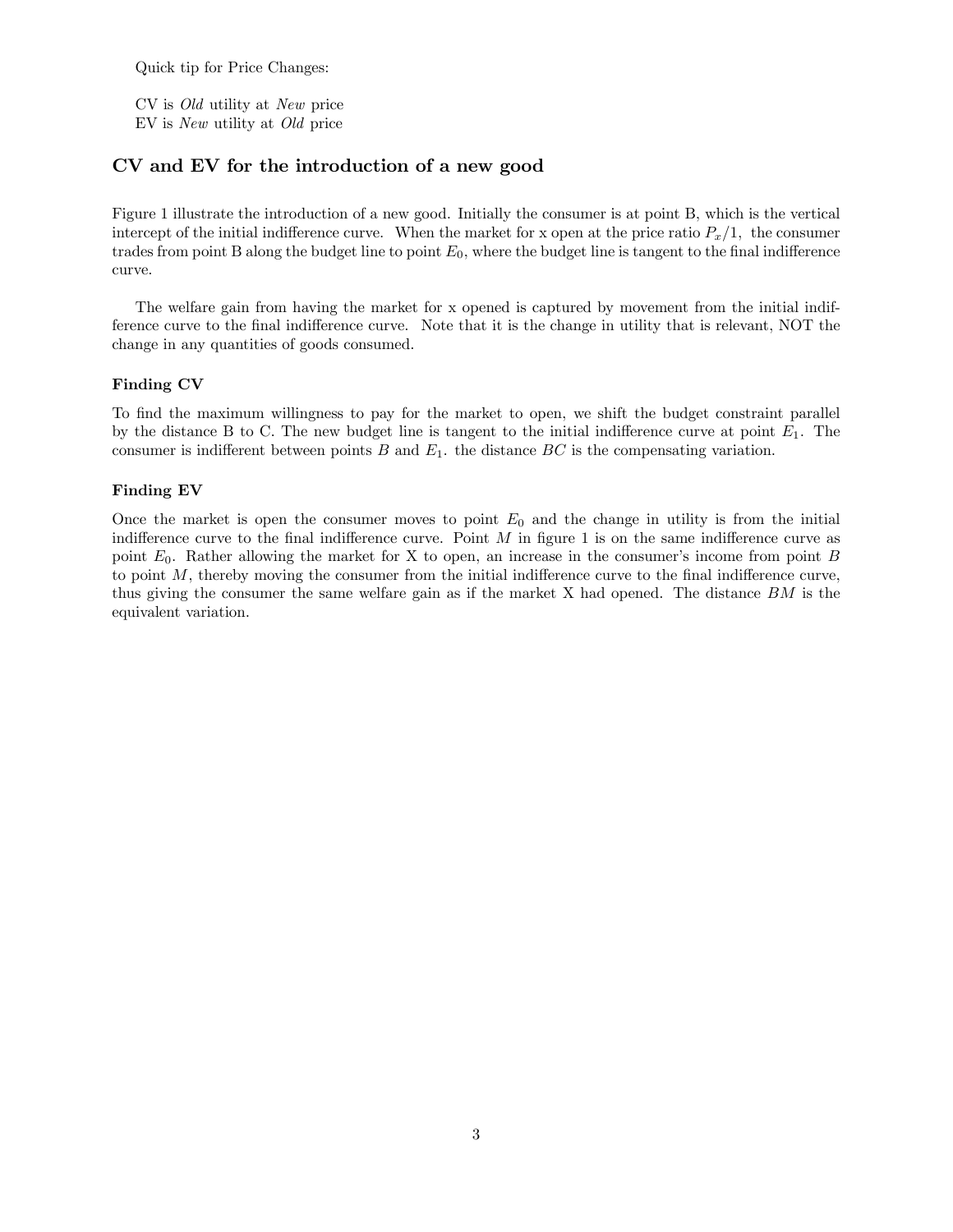Quick tip for Price Changes:

CV is Old utility at New price EV is New utility at Old price

### CV and EV for the introduction of a new good

Figure 1 illustrate the introduction of a new good. Initially the consumer is at point B, which is the vertical intercept of the initial indifference curve. When the market for x open at the price ratio  $P_x/1$ , the consumer trades from point B along the budget line to point  $E_0$ , where the budget line is tangent to the final indifference curve.

The welfare gain from having the market for x opened is captured by movement from the initial indifference curve to the final indifference curve. Note that it is the change in utility that is relevant, NOT the change in any quantities of goods consumed.

#### Finding CV

To find the maximum willingness to pay for the market to open, we shift the budget constraint parallel by the distance B to C. The new budget line is tangent to the initial indifference curve at point  $E_1$ . The consumer is indifferent between points  $B$  and  $E_1$ , the distance  $BC$  is the compensating variation.

#### Finding EV

Once the market is open the consumer moves to point  $E_0$  and the change in utility is from the initial indifference curve to the final indifference curve. Point  $M$  in figure 1 is on the same indifference curve as point E0. Rather allowing the market for X to open, an increase in the consumer's income from point B to point  $M$ , thereby moving the consumer from the initial indifference curve to the final indifference curve, thus giving the consumer the same welfare gain as if the market X had opened. The distance BM is the equivalent variation.